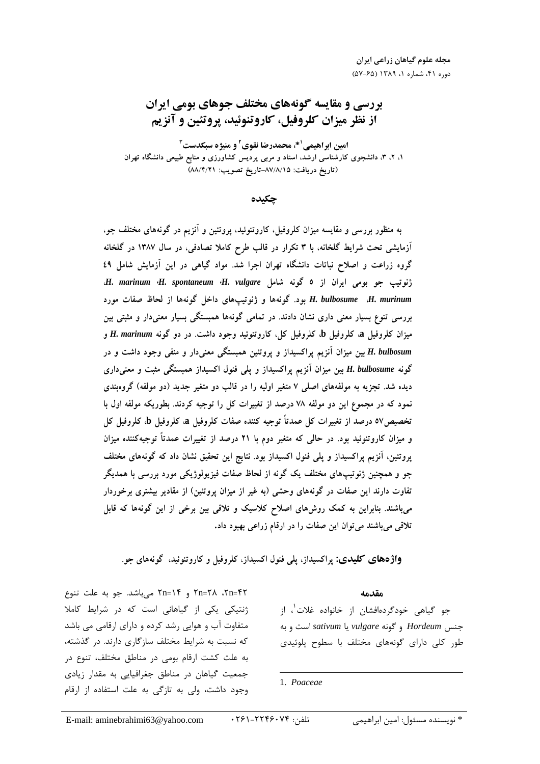# بررسی و مقایسه گونههای مختلف جوهای بومی ایران از نظر میزان کلروفیل، کاروتنوئید، پروتئین و آنزیم

امین ابراهیمی<sup>۱۰</sup>»، محمدرضا نقوی<sup>۲</sup> و منیژه سبکدست<sup>۳</sup> ۱، ۲، ۳، دانشجوی کارشناسی ارشد، استاد و مربی پردیس کشاورزی و منابع طبیعی دانشگاه تهران (تاریخ دریافت: ۸۷/۸/۱۵-تاریخ تصویب: ۸۸/۴/۲۱)

چکىدە

به منظور بررسی و مقایسه میزان کلروفیل، کاروتنوئید، پروتئین و آنزیم در گونههای مختلف جو، آزمایشی تحت شرایط گلخانه، با ۳ تکرار در قالب طرح کاملا تصادفی، در سال ۱۳۸۷ در گلخانه گروه زراعت و اصلاح نباتات دانشگاه تهران اجرا شد. مواد گیاهی در این آزمایش شامل ٤٩ زنوتيب جو بومي ايران از ٥ گونه شامل H. marinum H. spontaneum H. vulgare H. bulbosume H. murinum بود. گونهها و ژنوتیپهای داخل گونهها از لحاظ صفات مورد بررسی تنوع بسیار معنی داری نشان دادند. در تمامی گونهها همبستگی بسیار معنیدار و مثبتی بین ميزان كلروفيل a، كلروفيل b، كلروفيل كل، كاروتنوئيد وجود داشت. در دو گونه H. marinum و H. bulbosum بین میزان آنزیم پراکسیداز و پروتئین همبستگی معنیدار و منفی وجود داشت و در گونه H. bulbosume بین میزان آنزیم پراکسیداز و پلی فنول اکسیداز همبستگی مثبت و معنیداری دیده شد. تجزیه به مولفههای اصلی ۷ متغیر اولیه را در قالب دو متغیر جدید (دو مولفه) گروهبندی نمود که در مجموع این دو مولفه ۷۸ درصد از تغییرات کل را توجیه کردند. بطوریکه مولفه اول با تخصيص٥٧ درصد از تغييرات كل عمدتاً توجيه كننده صفات كلروفيل a، كلروفيل b، كلروفيل كل و میزان کاروتنوئید بود. در حالی که متغیر دوم با ۲۱ درصد از تغییرات عمدتاً توجیهکننده میزان پروتئین، آنزیم پراکسیداز و پلی فنول اکسیداز بود. نتایج این تحقیق نشان داد که گونههای مختلف جو و همچنین ژنوتیپهای مختلف یک گونه از لحاظ صفات فیزیولوژیکی مورد بررسی با همدیگر تفاوت دارند این صفات در گونههای وحشی (به غیر از میزان پروتئین) از مقادیر بیشتری برخوردار میباشند. بنابراین به کمک روشهای اصلاح کلاسیک و تلاقی بین برخی از این گونهها که قابل تلاقی می باشند می توان این صفات را در ارقام زراعی بهبود داد.

**واژههای کلیدی:** پراکسیداز، پلی فنول اکسیداز، کلروفیل و کاروتنوئید، گونههای جو.

۲n=۴۲، ۲n=۲۸ و ۲n=۱۴ میباشد. جو به علت تنوع ژنتیکی یکی از گیاهانی است که در شرایط کاملا متفاوت آب و هوایی رشد کرده و دارای ارقامی می باشد که نسبت به شرایط مختلف سازگاری دارند. در گذشته، به علت کشت ارقام بومی در مناطق مختلف، تنوع در جمعیت گیاهان در مناطق جغرافیایی به مقدار زیادی وجود داشت، ولي به تازگي به علت استفاده از ارقام

#### مقدمه

جو گياهي خودگردهافشان از خانواده غلات<sup>'</sup>، از جنس Hordeum و گونه vulgare یا sativum است و به طور کلی دارای گونههای مختلف با سطوح پلوئیدی

<sup>1.</sup> Poaceae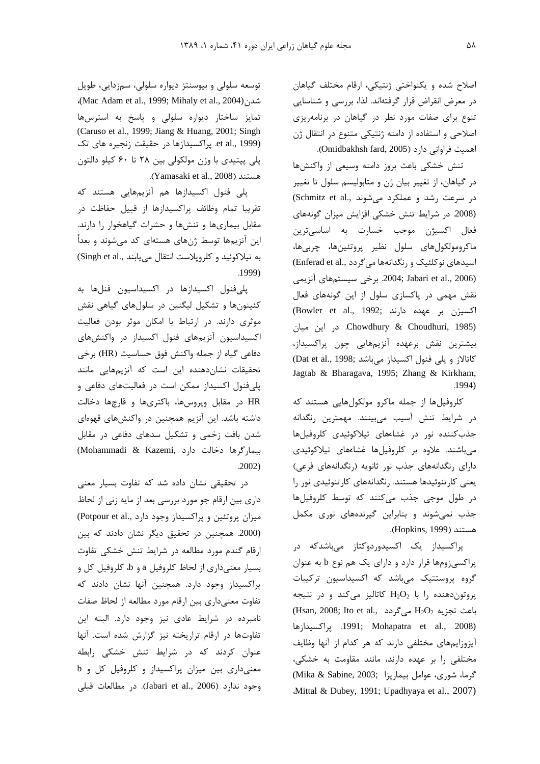اصلاح شده و يكنواختى ژنتيكى، ارقام مختلف گياهان در معرض انقراض قرار گرفتهاند. لذا، بررسی و شناسایی تنوع برای صفات مورد نظر در گیاهان در برنامهریزی اصلاحی و استفاده از دامنه ژنتیکی متنوع در انتقال ژن اهميت فراواني دارد (Omidbakhsh fard, 2005).

تنش خشکی باعث بروز دامنه وسیعی از واکنشها در گیاهان، از تغییر بیان ژن و متابولیسم سلول تا تغییر در سرعت رشد و عملکرد می شوند .Schmitz et al (2008. در شرایط تنش خشکی افزایش میزان گونههای فعال اکسیژن موجب خسارت به اساسیترین ماكرومولكول هاى سلول نظير پروتئينها، چربىها، اسیدهای نوکلئیک و رنگدانهها می گردد .(Enferad et al .2006 (2006 2004; Jabari et al., 2006 برخى سيستمهاى آنزيمى نقش مهمی در پاکسازی سلول از این گونههای فعال اكسيژن بر عهده دارند :(Bowler et al., 1992 Chowdhury & Choudhuri, 1985). در این میان بيشترين نقش برعهده آنزيمهايي چون پراکسيداز، (Dat et al., 1998; میباشد) (Dat et al., 1998; باشد Jagtab & Bharagava, 1995; Zhang & Kirkham,  $.1994)$ 

کلروفیلها از جمله ماکرو مولکولهایی هستند که در شرایط تنش آسیب میبینند. مهمترین رنگدانه جذب کننده نور در غشاءهای تیلاکوئیدی کلروفیلها می باشند. علاوه بر کلروفیلها غشاءهای تیلاکوئیدی دارای رنگدانههای جذب نور ثانویه (رنگدانههای فرعی) یعنی کارتنوئیدها هستند. رنگدانههای کارتنوئیدی نور را در طول موجی جذب میکنند که توسط کلروفیلها جذب نمیشوند و بنابراین گیرندههای نوری مکمل هستند (Hopkins, 1999).

پراکسیداز یک اکسیدوردوکتاز میباشدکه در پراکسیزومها قرار دارد و دارای یک هم نوع b به عنوان گروه پروستتیک میباشد که اکسیداسیون ترکیبات پروتون دهنده را با  $H_2O_2$  کاتالیز میکند و در نتیجه (Hsan, 2008; Ito et al., باعث تجزيه  $H_2O_2$  میگردد .1991; Mohapatra et al., 2008). يراكسيدازها آیزوزایمهای مختلفی دارند که هر کدام از آنها وظایف مختلفی را بر عهده دارند، مانند مقاومت به خشکی، گرما، شوری، عوامل بیماریزا (Mika & Sabine, 2003; Mittal & Dubey, 1991; Upadhyaya et al., 2007).

توسعه سلولی و بیوسنتز دیواره سلولی، سمزدایی، طویل شدن(Mac Adam et al., 1999; Mihaly et al., 2004)، تمایز ساختار دیواره سلولی و پاسخ به استرسها (Caruso et al., 1999; Jiang & Huang, 2001; Singh et al., 1999). يراكسيدازها در حقيقت زنجيره هاي تك پلی پپتیدی با وزن مولکولی بین ۲۸ تا ۶۰ کیلو دالتون هستند (Yamasaki et al., 2008).

پلی فنول اکسیدازها هم آنزیمهایی هستند که تقريبا تمام وظائف پراكسيدازها از قبيل حفاظت در مقابل بیماریها و تنشها و حشرات گیاهخوار را دارند. این آنزیمها توسط ژنهای هستهای کد میشوند و بعداً به تيلاكوئيد و كلرويلاست انتقال مي بابند ,Singh et al)  $.1999$ 

پلیفنول اکسیدازها در اکسیداسیون فنلها به کئینونها و تشکیل لیگنین در سلولهای گیاهی نقش موثری دارند. در ارتباط با امکان موثر بودن فعالیت اکسیداسیون آنزیمهای فنول اکسیداز در واکنشهای دفاعي گياه از جمله واكنش فوق حساسيت (HR) برخي تحقیقات نشاندهنده این است که آنزیمهایی مانند پلیفنول اکسیداز ممکن است در فعالیتهای دفاعی و HR در مقابل ویروسها، باکتریها و قارچها دخالت داشته باشد. این آنزیم همچنین در واکنشهای قهوهای شدن بافت زخمی و تشکیل سدهای دفاعی در مقابل (Mohammadi & Kazemi, بيماركرها دخالت دارد  $.2002)$ 

در تحقیقی نشان داده شد که تفاوت بسیار معنی داری بین ارقام جو مورد بررسی بعد از مایه زنی از لحاظ میزان پروتئین و پراکسیداز وجود دارد .(Potpour et al (2000. همچنین در تحقیق دیگر نشان دادند که بین ارقام گندم مورد مطالعه در شرایط تنش خشکی تفاوت بسیار معنیداری از لحاظ کلروفیل a و b، کلروفیل کل و پراکسیداز وجود دارد. همچنین آنها نشان دادند که تفاوت معنى دارى بين ارقام مورد مطالعه از لحاظ صفات نامبرده در شرایط عادی نیز وجود دارد. البته این تفاوتها در ارقام تراریخته نیز گزارش شده است. آنها عنوان کردند که در شرایط تنش خشکی رابطه معنی داری بین میزان پراکسیداز و کلروفیل کل و b وجود ندارد (Jabari et al., 2006). در مطالعات قبلي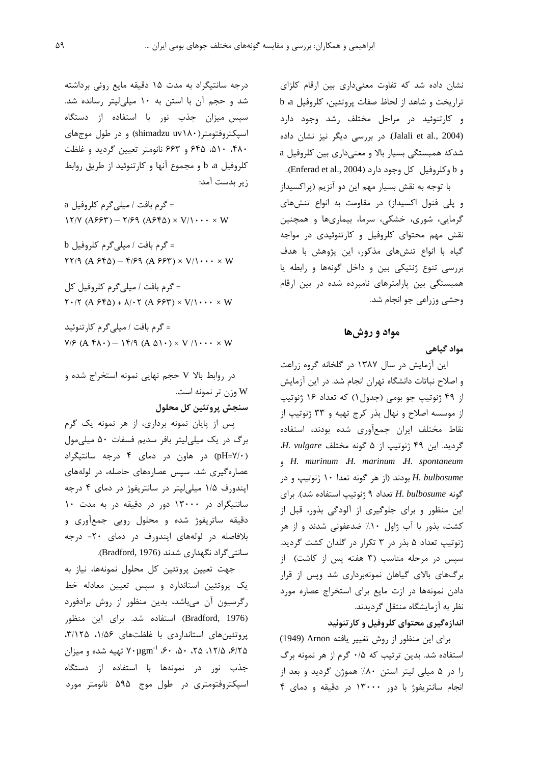نشان داده شد که تفاوت معنیداری بین ارقام کلزای تراريخت و شاهد از لحاظ صفات پروتئين، كلروفيل b a و کارتنوئید در مراحل مختلف رشد وجود دارد (Jalali et al., 2004). در بررسی دیگر نیز نشان داده شدکه همبستگی بسیار بالا و معنیداری بین کلروفیل a و b وكلروفيل كل وجود دارد (Enferad et al., 2004).

با توجه به نقش بسیار مهم این دو آنزیم (پراکسیداز و پلی فنول اکسیداز) در مقاومت به انواع تنشهای گرمایی، شوری، خشکی، سرما، بیماریها و همچنین نقش مهم محتوای کلروفیل و کارتنوئیدی در مواجه گیاه با انواع تنشهای مذکور، این پژوهش با هدف بررسی تنوع ژنتیکی بین و داخل گونهها و رابطه یا همبستگی بین پارامترهای نامبرده شده در بین ارقام وحشی وزراعی جو انجام شد.

# مواد و روشها

مواد گیاهی

این آزمایش در سال ۱۳۸۷ در گلخانه گروه زراعت و اصلاح نباتات دانشگاه تهران انجام شد. در این آزمایش از ۴۹ ژنوتیپ جو بومی (جدول۱) که تعداد ۱۶ ژنوتیپ از موسسه اصلاح و نهال بذر کرج تهیه و ۳۳ ژنوتیپ از نقاط مختلف ايران جمعأوري شده بودند، استفاده  $H.$  vulgare زنوتیپ از ۵ گونه مختلف  $H.$  vulgare H. murinum H. marinum H. spontaneum H. bulbosume بودند (از هر گونه تعدا ١٠ ژنوتيپ و در گونه H. bulbosume تعداد ۹ ژنوتیپ استفاده شد). برای این منظور و برای جلوگیری از آلودگی بذور، قبل از کشت، بذور با آب ژاول ۱۰٪ ضدعفونی شدند و از هر ژنوتیپ تعداد ۵ بذر در ۳ تکرار در گلدان کشت گردید. سپس در مرحله مناسب (۳ هفته پس از کاشت) از برگهای بالای گیاهان نمونهبرداری شد وپس از قرار دادن نمونهها در ازت مایع برای استخراج عصاره مورد نظر به آزمایشگاه منتقل گردیدند.

## اندازهگیری محتوای کلروفیل و کارتنوئید

برای این منظور از روش تغییر یافته Arnon (1949) استفاده شد. بدین ترتیب که ۰/۵ گرم از هر نمونه برگ را در ۵ میلی لیتر استن ۸۰٪ هموژن گردید و بعد از انجام سانتریفوژ با دور ۱۳۰۰۰ در دقیقه و دمای ۴

درجه سانتیگراد به مدت ۱۵ دقیقه مایع روئی برداشته شد و حجم آن با استن به ١٠ ميلي ليتر رسانده شد. سیس میزان جذب نور با استفاده از دستگاه اسپکتروفتومتر(۱۸۰×shimadzu uv) و در طول موجهای ۴۸۰، ۵۱۰، ۶۴۵ و ۶۶۳ نانومتر تعیین گردید و غلظت كلروفيل d، b و مجموع آنها و كارتنوئيد از طريق روابط زير بدست آمد:

= گرم بافت / میلی گرم کلروفیل a  $Y/Y (A$ ۶۶۳) –  $Y/S9 (A$ ۶۴۵) ×  $V/Y \cdots$  × W  $b$  = گرم بافت / میلی گرم کلروفیل  $YY/9$  (A  $\mathcal{F}^6\Delta$ ) -  $\mathcal{F}/\mathcal{F}^9$  (A  $\mathcal{F}\mathcal{F}^9$ ) ×  $V/1 \cdots$  × W

= گرم بافت / میلی گرم کلروفیل کل  $\mathsf{Y} \cdot \mathsf{Y}$  (A  $\mathsf{F}(\Delta) + \mathsf{A} \cdot \mathsf{Y}$  (A  $\mathsf{F} \mathsf{F} \mathsf{Y}$ ) × V/ $\mathsf{Y} \cdot \cdot \cdot \cdot \cdot \mathsf{W}$ 

= گرم بافت / میلی گرم کارتنوئید  $V/F (A f \wedge \cdot) - Vf / q (A \wedge \cdot) \times V / V \cdot \cdot \cdot \times W$ 

در روابط بالا V حجم نهایی نمونه استخراج شده و W وزن تر نمونه است.

# سنجش پروتئين كل محلول

پس از پایان نمونه برداری، از هر نمونه یک گرم برگ در یک میلی لیتر بافر سدیم فسفات ۵۰ میلی مول (pH=V/·) در هاون در دمای ۴ درجه سانتیگراد عصارهگیری شد. سپس عصارههای حاصله، در لولههای اپندورف ۱/۵ میلی لیتر در سانتریفوژ در دمای ۴ درجه سانتیگراد در ۱۳۰۰۰ دور در دقیقه در به مدت ۱۰ دقیقه ساتریفوژ شده و محلول رویی جمعآوری و بلافاصله در لولههای اپندورف در دمای ٢٠- درجه سانتے گراد نگھداری شدند (Bradford, 1976).

جهت تعیین پروتئین کل محلول نمونهها، نیاز به یک پروتئین استاندارد و سپس تعیین معادله خط رگرسیون آن میباشد، بدین منظور از روش برادفورد (Bradford, 1976) استفاده شد. برای این منظور پروتئینهای استانداردی با غلظتهای ۱/۵۶، ۳/۱۲۵.  $\sim$ ۰ ۲۵، ۲۵، ۲۵، ۴۰، ۴۰، ۲۰ $\rm g m^{-1}$  تهیه شده و میزان جذب نور در نمونهها با استفاده از دستگاه اسپکتروفتومتری در طول موج ۵۹۵ نانومتر مورد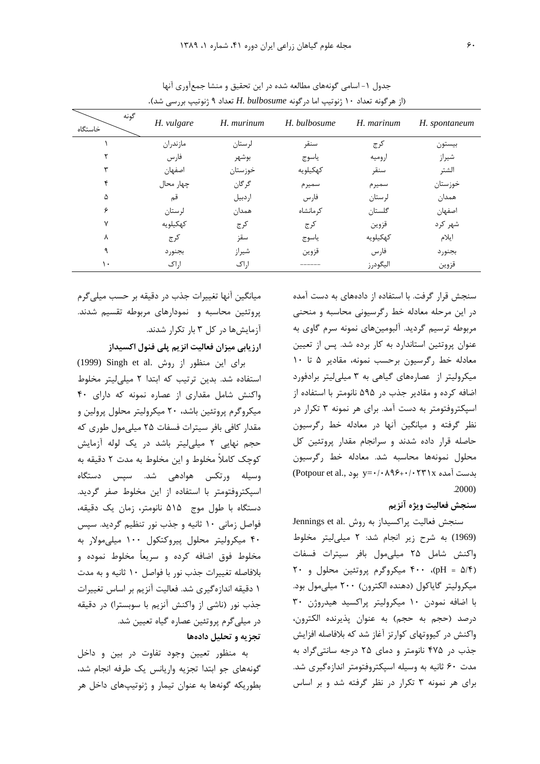|                 | رىرىيې بررسى سىن |            |              | ינית די    |               |
|-----------------|------------------|------------|--------------|------------|---------------|
| گونه<br>خاستگاه | H. vulgare       | H. murinum | H. bulbosume | H. marinum | H. spontaneum |
|                 | مازندران         | لرستان     | سنقر         | كرج        | بيستون        |
|                 | فارس             | بوشهر      | ياسوج        | اروميه     | شيراز         |
|                 | اصفهان           | خوزستان    | كهكيلويه     | سنقر       | الشتر         |
|                 | چهار محال        | گرگان      | سميرم        | سميرم      | خوزستان       |
| ۵               | قم               | اردبيل     | فارس         | لرستان     | همدان         |
| ۶               | لرستان           | همدان      | کر مانشاه    | گلستان     | اصفهان        |
| ٧               | كهكيلويه         | كرج        | كرج          | قزوين      | شهر کرد       |
| ٨               | كرج              | سقز        | ياسوج        | كهكيلويه   | ايلام         |
|                 | بجنورد           | شيراز      | قزوين        | فارس       | بجنورد        |
| $\mathcal{N}$   | اراک             | اراک       |              | اليگودرز   | قزوين         |

جدول ١- اسامي گونههاي مطالعه شده در اين تحقيق و منشا جمع آوري آنها ا: ه گونه تعداد ۱۰ ژنوتیب اما د. گونه H. bulbosume تعداد ۹ ژنوتیب درسی شد).

سنجش قرار گرفت. با استفاده از دادههای به دست آمده در این مرحله معادله خط رگرسیونی محاسبه و منحنی مربوطه ترسیم گردید. آلبومینهای نمونه سرم گاوی به عنوان پروتئین استاندارد به کار برده شد. پس از تعیین معادله خط رگرسیون برحسب نمونه، مقادیر ۵ تا ۱۰ میکرولیتر از عصارههای گیاهی به ۳ میلی لیتر برادفورد اضافه کرده و مقادیر جذب در ۵۹۵ نانومتر با استفاده از اسپکتروفتومتر به دست آمد. برای هر نمونه ۳ تکرار در نظر گرفته و میانگین آنها در معادله خط رگرسیون حاصله قرار داده شدند و سرانجام مقدار پروتئین کل محلول نمونهها محاسبه شد. معادله خط رگرسیون (Potpour et al., بدست آمده y=٠/٠٨٩۶+٠/٠٢٣١x  $.2000$ 

#### سنجش فعاليت ويژه آنزيم

Jennings et al. به روش Jennings et al. (1969) به شرح زیر انجام شد: ٢ میلی لیتر مخلوط واكنش شامل ٢٥ ميلي مول بافر سيترات فسفات (pH = ۵/۴)، ۴۰۰ میکروگرم پروتئین محلول و ۲۰ ميكروليتر گاياكول (دهنده الكترون) ٢٠٠ ميلي مول بود. با اضافه نمودن ١٠ ميكروليتر پراكسيد هيدروژن ٣٠ درصد (حجم به حجم) به عنوان پذیرنده الکترون، واکنش در کیووتهای کوارتز آغاز شد که بلافاصله افزایش جذب در ۴۷۵ نانومتر و دمای ۲۵ درجه سانتی گراد به مدت ۶۰ ثانیه به وسیله اسپکتروفتومتر اندازهگیری شد. برای هر نمونه ۳ تکرار در نظر گرفته شد و بر اساس

میانگین آنها تغییرات جذب در دقیقه بر حسب میلی گرم پروتئین محاسبه و نمودارهای مربوطه تقسیم شدند. آزمایش ها در کل ۳ بار تکرار شدند.

### ارزیابی میزان فعالیت انزیم پلی فنول اکسیداز

برای این منظور از روش .Singh et al (1999) استفاده شد. بدین ترتیب که ابتدا ۲ میلی لیتر مخلوط واکنش شامل مقداری از عصاره نمونه که دارای ۴۰ میکروگرم پروتئین باشد، ۲۰ میکرولیتر محلول پرولین و مقدار کافی بافر سیترات فسفات ۲۵ میلی مول طوری که حجم نهایی ٢ میلی لیتر باشد در یک لوله آزمایش کوچک کاملاً مخلوط و این مخلوط به مدت ۲ دقیقه به وسیله ورتکس هوادهی شد. سپس دستگاه اسيكتروفتومتر با استفاده از اين مخلوط صفر گرديد. دستگاه با طول موج ۵۱۵ نانومتر، زمان یک دقیقه، فواصل زمانی ١٠ ثانيه و جذب نور تنظيم گرديد. سپس ۴۰ میکرولیتر محلول پیروکتکول ۱۰۰ میلی مولار به مخلوط فوق اضافه کرده و سریعاً مخلوط نموده و بلافاصله تغييرات جذب نور با فواصل ١٠ ثانيه و به مدت ١ دقيقه اندازهگيري شد. فعاليت آنزيم بر اساس تغييرات جذب نور (ناشی از واکنش آنزیم با سوبسترا) در دقیقه در میلیگرم پروتئین عصاره گیاه تعیین شد. تجزیه و تحلیل دادهها

به منظور تعیین وجود تفاوت در بین و داخل گونههای جو ابتدا تجزیه واریانس یک طرفه انجام شد، بطوریکه گونهها به عنوان تیمار و ژنوتیپهای داخل هر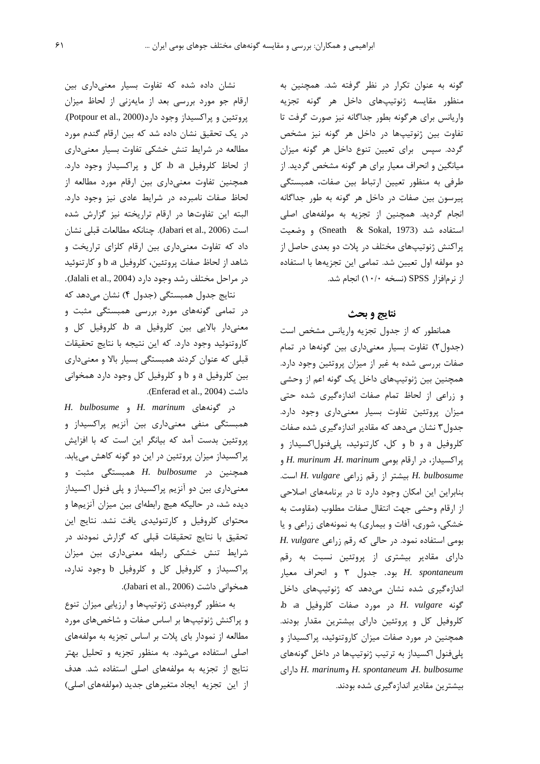گونه به عنوان تكرار در نظر گرفته شد. همچنين به منظور مقايسه ژنوتيپهاى داخل هر گونه تجزيه واریانس برای هرگونه بطور جداگانه نیز صورت گرفت تا تفاوت بين ژنوتيپها در داخل هر گونه نيز مشخص گردد. سپس برای تعیین تنوع داخل هر گونه میزان میانگین و انحراف معیار برای هر گونه مشخص گردید. از طرفی به منظور تعیین ارتباط بین صفات، همبستگی پیرسون بین صفات در داخل هر گونه به طور جداگانه انجام گردید. همچنین از تجزیه به مولفههای اصلی استفاده شد (Sneath & Sokal, 1973) و وضعیت پراکنش ژنوتیپهای مختلف در پلات دو بعدی حاصل از دو مولفه اول تعیین شد. تمامی این تجزیهها با استفاده از نرمافزار SPSS (نسخه ۱۰/۰) انجام شد.

### نتايج و بحث

همانطور که از جدول تجزیه واریانس مشخص است (جدول٢) تفاوت بسيار معنى دارى بين كونهها در تمام صفات بررسی شده به غیر از میزان پروتئین وجود دارد. همچنین بین ژنوتیپهای داخل یک گونه اعم از وحشی و زراعی از لحاظ تمام صفات اندازهگیری شده حتی میزان پروتئین تفاوت بسیار معنیداری وجود دارد. جدول۳ نشان میدهد که مقادیر اندازهگیری شده صفات کلروفیل a و b و کل، کارتنوئید، پلیفنولاکسیداز و پراکسیداز، در ارقام بومی H. murinum H. marinum و H. bulbosume بيشتر از رقم زراعى H. vulgare است. بنابراین این امکان وجود دارد تا در برنامههای اصلاحی از ارقام وحشى جهت انتقال صفات مطلوب (مقاومت به خشکی، شوری، آفات و بیماری) به نمونههای زراعی و یا H. vulgare بومی استفاده نمود. در حالی که رقم زراعی دارای مقادیر بیشتری از پروتئین نسبت به رقم بود. جدول ۳ و انحراف معیار H. spontaneum اندازهگیری شده نشان میدهد که ژنوتیپهای داخل b a b در مورد صفات کلروفیل b a d در مورد صفات کلروفیل کل و پروتئین دارای بیشترین مقدار بودند. همچنین در مورد صفات میزان کاروتنوئید، پراکسیداز و پلیفنول اکسیداز به ترتیب ژنوتیپها در داخل گونههای H. marinum, H. spontaneum *H. bulbosume* بیشترین مقادیر اندازهگیری شده بودند.

نشان داده شده که تفاوت بسیار معنیداری بین ارقام جو مورد بررسی بعد از مایهزنی از لحاظ میزان پروتئین و پراکسیداز وجود دارد(Potpour et al., 2000). در یک تحقیق نشان داده شد که بین ارقام گندم مورد مطالعه در شرایط تنش خشکی تفاوت بسیار معنی داری از لحاظ کلروفیل d a، کل و پراکسیداز وجود دارد. همچنین تفاوت معنیداری بین ارقام مورد مطالعه از لحاظ صفات نامبرده در شرایط عادی نیز وجود دارد. البته این تفاوتها در ارقام تراریخته نیز گزارش شده است (Jabari et al., 2006). چنانكه مطالعات قبلي نشان داد که تفاوت معنیداری بین ارقام کلزای تراریخت و شاهد از لحاظ صفات پروتئین، کلروفیل a، b و کارتنوئید در مراحل مختلف رشد وجود دارد (Jalali et al., 2004). نتايج جدول همبستگي (جدول ۴) نشان مي دهد كه

در تمامی گونههای مورد بررسی همبستگی مثبت و معنیدار بالایی بین کلروفیل a، b، کلروفیل کل و كاروتنوئيد وجود دارد. كه اين نتيجه با نتايج تحقيقات قبلی که عنوان کردند همبستگی بسیار بالا و معنیداری بين كلروفيل a و b و كلروفيل كل وجود دارد همخواني داشت (Enferad et al., 2004).

H. bulbosume , H. marinum و H. bulbosume همبستگی منفی معنیداری بین آنزیم پراکسیداز و پروتئین بدست آمد که بیانگر این است که با افزایش پراکسیداز میزان پروتئین در این دو گونه کاهش مییابد. همچنین در H. bulbosume همبستگی مثبت و معنیداری بین دو آنزیم پراکسیداز و پلی فنول اکسیداز دیده شد، در حالیکه هیچ رابطهای بین میزان آنزیمها و محتوای کلروفیل و کارتنوئیدی یافت نشد. نتایج این تحقیق با نتایج تحقیقات قبلی که گزارش نمودند در شرایط تنش خشکی رابطه معنیداری بین میزان پراکسیداز و کلروفیل کل و کلروفیل b وجود ندارد، همخوانی داشت (Jabari et al., 2006).

به منظور گروهبندی ژنوتیپها و ارزیابی میزان تنوع و پراکنش ژنوتیپها بر اساس صفات و شاخصهای مورد مطالعه از نمودار بای پلات بر اساس تجزیه به مولفههای اصلی استفاده می شود. به منظور تجزیه و تحلیل بهتر نتایج از تجزیه به مولفههای اصلی استفاده شد. هدف از این تجزیه ایجاد متغیرهای جدید (مولفههای اصلی)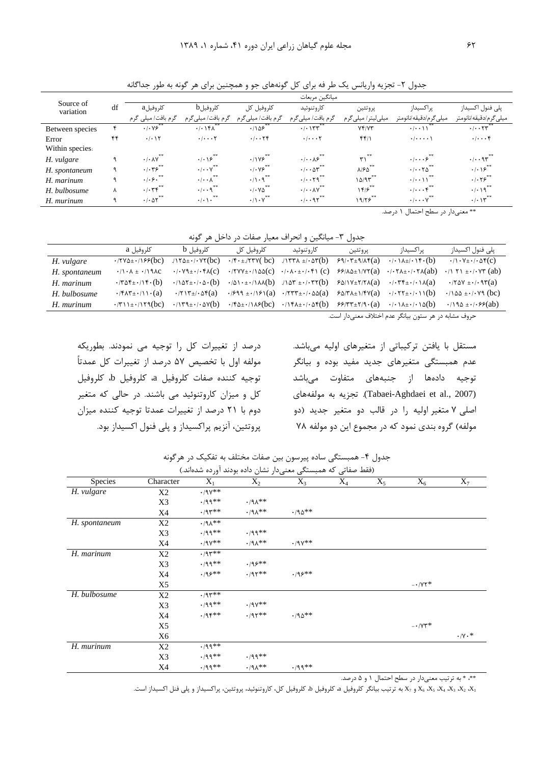|                        |    |                                                                      |                                           |                                       | ميانگين مربعات                             |                                            |                                                         |                           |
|------------------------|----|----------------------------------------------------------------------|-------------------------------------------|---------------------------------------|--------------------------------------------|--------------------------------------------|---------------------------------------------------------|---------------------------|
| Source of<br>variation | df | كلروفيلa                                                             | کلروفیلb                                  | كلروفيل كل                            | كاروتنوئيد                                 | پروتئين                                    | پراکسیداز                                               | پلی فنول اکسیداز          |
|                        |    | گرم بافت/ میلی گرم                                                   | گرم بافت/ میلی گرم                        | گرم بافت/ میلی گرم                    | گرم بافت/ میلی گرم                         | میلی لیتر / میلی گرم                       | ميلى گرم/دقيقه/نانومتر                                  | میلی گرم/دقیقه/نانومتر    |
| Between species        |    | .1.99                                                                | .1.14                                     | .1109                                 | .7.15                                      | Yf/Yf                                      | $\cdot$ / $\cdot$ ) )                                   | . / 74                    |
| Error                  | ۴۴ | $\cdot$ / $\cdot$ / $\tau$                                           | $\cdot$ / $\cdot$ $\cdot$ $\cdot$ $\cdot$ | . / 74                                | $\cdot/\cdot\cdot\cdot$ $\mathsf{Y}$       | 4411                                       | $\cdot$ / $\cdot$ $\cdot$ $\cdot$ $\cdot$               | $\cdot/\cdot\cdot\cdot$ ۴ |
| Within species:        |    |                                                                      |                                           |                                       |                                            |                                            |                                                         |                           |
| H. vulgare             |    | $\cdot/\cdot \lambda \mathrm{Y}^{**}$                                | $\cdot/\cdot\gamma^{**}$                  | $\cdot$ /1Y۶                          | .1.18                                      | $\mathbf{r}$                               | $\cdot$ $\cdot$ $\cdot$ $\cdot$ $\cdot$                 | .1.195                    |
| H. spontaneum          |    | $\cdot$ / $\cdot$ $\gamma$ $\varphi$ $\rightarrow$ $\pi$             | $\cdot/\cdot\cdot\gamma^{**}$             | $\cdot$ / $\cdot$ Y $\varsigma^{***}$ | $\cdot$ / $\cdot$ $\Delta r$ <sup>**</sup> | $\lambda$ /۶۵                              | $\cdot$   $\cdot$ $\cdot$ $\tau$ $\Delta$ <sup>**</sup> | $. -$                     |
| H. marinum             |    | $\cdot$ $\mathfrak{f}$ $\cdot$ $\mathfrak{g}$ $\cdot$ $\mathfrak{g}$ | $\cdot/\cdot\cdot\Lambda^{**}$            | $\cdot/\cdot$ 9 <sup>**</sup>         | $\cdot/\cdot\cdot\tau$ 9 **                | 10/91                                      |                                                         | $.1.79***$                |
| H. bulbosume           | λ  | $\cdot/\cdot \tau \tau^{**}$                                         | $\cdot/\cdot\cdot$ 9**                    | $\cdot$ / $\cdot$ Y $\Delta$ **       | $\cdot/\cdot\cdot\lambda\gamma^{**}$       | $\gamma$ $\gamma$ / $\gamma$ <sup>**</sup> | $\cdot/\cdots$ $\zeta^{**}$                             | $\cdot/\cdot\eta^{**}$    |
| H. murinum             |    | 宗宗<br>.1.01                                                          | 米米<br>$\cdot$   $\cdot$   $\cdot$         | $\cdot/\cdot$ Y                       | $\cdot/\cdot\cdot$ 97**                    | 19/79                                      | $\cdot$ $\cdot$ $\cdot$ $\vee$                          | $\cdot/\cdot \vee^{**}$   |

جدول ۲- تجزیه واریانس یک طر قه برای کل گونههای جو و همچنین برای هر گونه به طور جداگانه

\*\* معنىدار در سطح احتمال ۱ درصد.

جدول ۳- میانگین و انحراف معیار صفات در داخل هر گونه

|               | کل <sub>رو</sub> فیل a                                                                                                                                                                  | کلروفيل b                 | کلروفیل کل | کا, و تنوئید                                                                                                                                                                                                            | ير و تئين | يراكسيداز                                                                                                                                                                                                                                                                                     | پلی فنول اکسیداز                                                      |
|---------------|-----------------------------------------------------------------------------------------------------------------------------------------------------------------------------------------|---------------------------|------------|-------------------------------------------------------------------------------------------------------------------------------------------------------------------------------------------------------------------------|-----------|-----------------------------------------------------------------------------------------------------------------------------------------------------------------------------------------------------------------------------------------------------------------------------------------------|-----------------------------------------------------------------------|
| H. vulgare    | $\cdot$ /۲۷۵ $\pm$ $\cdot$ /۱۶۶(bc)                                                                                                                                                     | $117\Delta \pm 1.47$ (bc) |            | $\cdot$ /f· $\pm$ /۲۳۷(bc) /۱۳۳۸ $\pm$ / $\cdot$ ۵۳(b) $\epsilon$ ۹/ $\cdot$ ۳ $\pm$ ۹/ $\lambda$ ۴(a)                                                                                                                  |           | $\cdot$ / $\cdot$ \ $\lambda$ $\pm$ / $\cdot$ \ $\mathfrak{f}$ $\cdot$ (b)                                                                                                                                                                                                                    | $\cdot/\right. \cdot \left. \vee \pm \cdot \right/ \cdot \Delta f(c)$ |
| H. spontaneum | $\cdot$ / \ $\cdot$ $\lambda$ $\pm$ $\cdot$ / \ 9 $\lambda$ C                                                                                                                           |                           |            |                                                                                                                                                                                                                         |           | $\cdot/\cdot\forall$ 9± $\cdot/\cdot$ FA(c) $\cdot$ /YYY± $\cdot/\lambda\Delta$ (c) $\cdot/\cdot\lambda\cdot\pm\cdot/\cdot\angle$ (c) $\mathcal{S}$ FA $\Delta\pm\lambda/\forall$ Y(a) $\cdot/\cdot\forall\lambda\pm\cdot/\cdot\forall\lambda$ (ab)                                           | $\cdot$ / $\uparrow$ $\uparrow$ + $\cdot$ / $\uparrow$ (ab)           |
| H. marinum    | $\cdot$ $\uparrow$ $\uparrow$ $\uparrow$ $\uparrow$ $\uparrow$ $\uparrow$ $\uparrow$ $\uparrow$ $\uparrow$ $\uparrow$ $\uparrow$ $\uparrow$ $\uparrow$ $\uparrow$ $\uparrow$ $\uparrow$ |                           |            |                                                                                                                                                                                                                         |           | $\cdot/\Delta Y_{\pm} \cdot (\cdot \Delta \cdot (b) - \cdot/\Delta \cdot \cdot \pm \cdot/\Delta \wedge (b) - \Delta Y_{\pm} \cdot/\cdot \tau \wedge (b) - \epsilon \wedge (\Delta Y_{\pm} \cdot \tau) \wedge (\Delta (a) - \cdot/\cdot \tau \cdot \tau \pm \cdot/\cdot \Delta (a))$           | $\cdot$ /۲۵۷ ± $\cdot$ / $\cdot$ ۹۳(a)                                |
| H. bulbosume  | $\cdot$ /۴۸۳ $\pm$ $\cdot$ /11 $\cdot$ (a)                                                                                                                                              |                           |            | $\cdot$ /۲۱۳ $\pm$ / $\cdot$ ۵۴(a) $\cdot$ /۶۹۹ $\pm$ $\cdot$ /۱۶۱(a) $\cdot$ /۲۳۳ $\pm$ $\cdot$ / $\cdot$ ۵۵(a) $\epsilon$ $\in$ / $\forall$ $\pm$ $\pm$ / $\in$ Y $\in$ $\pm$ $\cdot$ / $\cdot$ 1)(b)                 |           |                                                                                                                                                                                                                                                                                               | $\cdot$ /144 $\pm \cdot$ / $\cdot$ Y9 (bc)                            |
| H. murinum    | $\cdot$ /٣١١± $\cdot$ /١٢٩(bc)                                                                                                                                                          |                           |            | $\cdot$ / $\mathcal{N}(b)$ $\cdot$ / $\mathcal{N}(b)$ $\cdot$ / $\mathcal{N}(bc)$ $\cdot$ / $\mathcal{N}(bc)$ $\cdot$ / $\mathcal{N}(b)$ $\mathcal{N}(b)$ $\cdot$ / $\mathcal{N}(b)$ $\cdot$ / $\cdot$ $\mathcal{N}(b)$ |           |                                                                                                                                                                                                                                                                                               |                                                                       |
|               |                                                                                                                                                                                         |                           |            |                                                                                                                                                                                                                         |           | $\sim$ 1 $\sim$ 1 $\sim$ 1 $\sim$ 1 $\sim$ 1 $\sim$ 1 $\sim$ 1 $\sim$ 1 $\sim$ 1 $\sim$ 1 $\sim$ 1 $\sim$ 1 $\sim$ 1 $\sim$ 1 $\sim$ 1 $\sim$ 1 $\sim$ 1 $\sim$ 1 $\sim$ 1 $\sim$ 1 $\sim$ 1 $\sim$ 1 $\sim$ 1 $\sim$ 1 $\sim$ 1 $\sim$ 1 $\sim$ 1 $\sim$ 1 $\sim$ 1 $\sim$ 1 $\sim$ 1 $\sim$ |                                                                       |

حروف مشابه در هر ستون بیانگر عدم اختلاف معنیدار است.

درصد از تغییرات کل را توجیه می نمودند. بطوریکه مولفه اول با تخصیص ۵۷ درصد از تغییرات کل عمدتا توجيه كننده صفات كلروفيل a، كلروفيل b، كلروفيل کل و میزان کاروتنوئید می باشند. در حالی که متغیر دوم با ۲۱ درصد از تغییرات عمدتا توجیه کننده میزان پروتئین، انزیم پراکسیداز و پلی فنول اکسیداز بود.

مستقل با یافتن ترکیباتی از متغیرهای اولیه میباشد. عدم همبستگی متغیرهای جدید مفید بوده و بیانگر توجیه دادهها از جنبههای متفاوت میباشد Tabaei-Aghdaei et al., 2007). تجزيه به مولفههاى اصلی ۷ متغیر اولیه را در قالب دو متغیر جدید (دو مولفه) گروه بندی نمود که در مجموع این دو مولفه ۷۸

| (فقط صفاتی که همبستگی معنیدار نشان داده بودند آورده شدهاند.) |                |                              |                         |                    |       |       |                                      |                        |
|--------------------------------------------------------------|----------------|------------------------------|-------------------------|--------------------|-------|-------|--------------------------------------|------------------------|
| Species                                                      | Character      | $X_1$                        | $X_2$                   | $X_3$              | $X_4$ | $X_5$ | $X_6$                                | $\overline{X_7}$       |
| H. vulgare                                                   | X <sub>2</sub> | $.19V**$                     |                         |                    |       |       |                                      |                        |
|                                                              | X3             | $\cdot$ /99**                | $\cdot$ /9 $\Lambda$ ** |                    |       |       |                                      |                        |
|                                                              | X4             | $\cdot$ /9 $\mathsf{r}^*$ *  | $\cdot$ /9 $\Lambda$ ** | $\cdot$ /90**      |       |       |                                      |                        |
| H. spontaneum                                                | X2             | $\cdot$ /9 $\lambda$ **      |                         |                    |       |       |                                      |                        |
|                                                              | X3             | $.199**$                     | $.199**$                |                    |       |       |                                      |                        |
|                                                              | X4             | $\cdot$ /9 $V^**$            | $\cdot$ /9 $\wedge^*$ * | $\cdot$ /9 $Y^*$ * |       |       |                                      |                        |
| H. marinum                                                   | X <sub>2</sub> | $.194**$                     |                         |                    |       |       |                                      |                        |
|                                                              | X3             | $.199**$                     | $.195**$                |                    |       |       |                                      |                        |
|                                                              | X4             | $.195**$                     | $.191***$               | $.195***$          |       |       |                                      |                        |
|                                                              | X <sub>5</sub> |                              |                         |                    |       |       | $-1/\gamma \gamma^*$                 |                        |
| H. bulbosume                                                 | X2             | $\cdot$ /9 $\overline{r}$ ** |                         |                    |       |       |                                      |                        |
|                                                              | X3             | $\cdot$ /99**                | $\cdot$ /9 $V^**$       |                    |       |       |                                      |                        |
|                                                              | X4             | $.195**$                     | $.191***$               | $\cdot$ /90**      |       |       |                                      |                        |
|                                                              | X <sub>5</sub> |                              |                         |                    |       |       | $ \cdot$ / $\vee$ $\check{\tau}$ $*$ |                        |
|                                                              | X6             |                              |                         |                    |       |       |                                      | $\cdot/\gamma \cdot *$ |
| H. murinum                                                   | X <sub>2</sub> | $.199**$                     |                         |                    |       |       |                                      |                        |
|                                                              | X3             | $.199**$                     | $.199**$                |                    |       |       |                                      |                        |
|                                                              | X4             | $.199**$                     | $\cdot$ /9 $\Lambda$ ** | $.199**$           |       |       |                                      |                        |

جدول ۳- همبستگی ساده پیرسون بین صفات مختلف به تفکیک در هرگونه

\*\*، \* به ترتیب معنیدار در سطح احتمال ۱ و ۵ درصد.

X, وX, X3, X3, X2 و X7 به ترتيب بيانگر كلروفيل a، كلروفيل b، كلروفيل كل، كاروتنوئيد، پروتئين، پراكسيداز و پلى فنل اكسيداز است.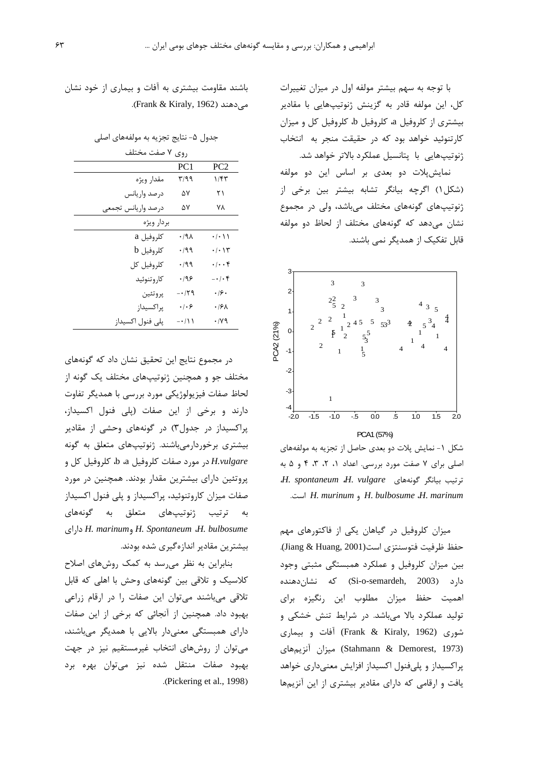با توجه به سهم بیشتر مولفه اول در میزان تغییرات کل، این مولفه قادر به گزینش ژنوتیپهایی با مقادیر بیشتری از کلروفیل a، کلروفیل b، کلروفیل کل و میزان کارتنوئید خواهد بود که در حقیقت منجر به انتخاب ژنوتیپهایی با پتانسیل عملکرد بالاتر خواهد شد.

نمایشپلات دو بعدی بر اساس این دو مولفه (شكل ۱) اگرچه بيانگر تشابه بيشتر بين برخي از ژنوتیپهای گونههای مختلف می باشد، ولی در مجموع نشان میدهد که گونههای مختلف از لحاظ دو مولفه قابل تفکیک از همدیگر نمی باشند.



شکل ١- نمايش پلات دو بعدي حاصل از تجزيه به مولفههاي اصلی برای ۷ صفت مورد بررسی. اعداد ۱، ۲، ۳، ۴ و ۵ به H. spontaneum *H. vulgare*  $\zeta$  ترتیب بیانگر گونههای H. murinum , H. bulbosume J. marinum است.

میزان کلروفیل در گیاهان یکی از فاکتورهای مهم حفظ ظرفيت فتوسنتزى است(Jiang & Huang, 2001). بین میزان کلروفیل و عملکرد همبستگی مثبتی وجود دا, د (Si-o-semardeh, 2003) که نشان $\sim$ هنده اهمیت حفظ میزان مطلوب این رنگیزه برای تولید عملکرد بالا میباشد. در شرایط تنش خشکی و شوری (Frank & Kiraly, 1962) آفات و بیماری (Stahmann & Demorest, 1973) ميزان آنزيمهاى پراکسیداز و پلیفنول اکسیداز افزایش معنیداری خواهد یافت و ارقامی که دارای مقادیر بیشتری از این آنزیمها

باشند مقاومت بیشتری به آفات و بیماری از خود نشان مے دھند (Frank & Kiraly, 1962).

جدول ۵- نتايج تجزيه به مولفههاي اصلي

| ۷ صفت مختلف<br>روي |                     |                                |  |  |  |  |
|--------------------|---------------------|--------------------------------|--|--|--|--|
|                    | PC <sub>1</sub>     | PC2                            |  |  |  |  |
| مقدار ويژه         | ۳/۹۹                | ۱/۴۳                           |  |  |  |  |
| درصد واريانس       | ۵۷                  | ۲۱                             |  |  |  |  |
| درصد واريانس تجمعي | ۵۷                  | ۷۸                             |  |  |  |  |
| بردار ويژه         |                     |                                |  |  |  |  |
| a كلروفيل          | ۰/۹۸                | $\cdot/\cdot$ \ \              |  |  |  |  |
| كلروفيل b          | $\cdot$ /99         | $\cdot/\cdot$ \ $\mathsf{Y}$   |  |  |  |  |
| كلروفيل كل         | $\cdot$ /99         | $\cdot/\cdot\cdot$ ۴           |  |  |  |  |
| كاروتنوئيد         | ۰/۹۶                | $- \cdot / \cdot \mathfrak{f}$ |  |  |  |  |
| پروتئين            | $-179$              | $\cdot$ /۶ $\cdot$             |  |  |  |  |
| پراکسیداز          | $\cdot$ / $\cdot$ 6 | $\cdot$ /۶۸                    |  |  |  |  |
| پلی فنول اکسیداز   | $- \cdot / \Lambda$ | $\cdot$ / $\vee$ 9             |  |  |  |  |

در مجموع نتايج اين تحقيق نشان داد كه گونههاى مختلف جو و همچنین ژنوتیپهای مختلف یک گونه از لحاظ صفات فیزیولوژیکی مورد بررسی با همدیگر تفاوت دارند و برخی از این صفات (پلی فنول اکسیداز، پراکسیداز در جدول۳) در گونههای وحشی از مقادیر بیشتری برخوردارمیباشند. ژنوتیپهای متعلق به گونه  $H.vulg$ در مورد صفات کلروفیل a، b، کلروفیل کل و پروتئین دارای بیشترین مقدار بودند. همچنین در مورد صفات میزان کاروتنوئید، پراکسیداز و پلی فنول اکسیداز به ترتیب ژنوتیپهای متعلق به گونههای طارای H. marinum و H. Spontaneum J. bulbosume بیشترین مقادیر اندازهگیری شده بودند.

بنابراین به نظر می رسد به کمک روش های اصلاح کلاسیک و تلاقی بین گونههای وحش با اهلی که قابل تلاقی میباشند می توان این صفات را در ارقام زراعی بهبود داد. همچنین از آنجائی که برخی از این صفات دارای همبستگی معنیدار بالایی با همدیگر میباشند، می توان از روشهای انتخاب غیرمستقیم نیز در جهت بهبود صفات منتقل شده نیز می;توان بهره برد .(Pickering et al., 1998)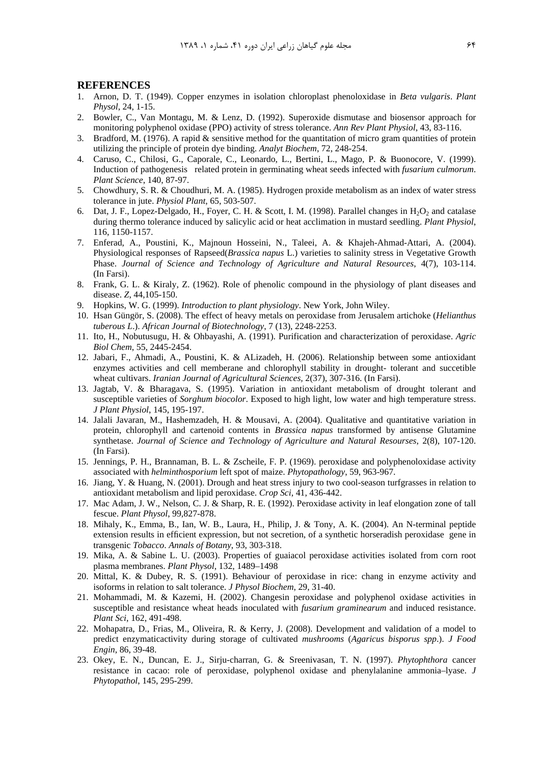#### **REFERENCES**

- 1. Arnon, D. T. (1949). Copper enzymes in isolation chloroplast phenoloxidase in *Beta vulgaris*. *Plant Physol*, 24, 1-15.
- 2. Bowler, C., Van Montagu, M. & Lenz, D. (1992). Superoxide dismutase and biosensor approach for monitoring polyphenol oxidase (PPO) activity of stress tolerance. *Ann Rev Plant Physiol*, 43, 83-116.
- 3. Bradford, M. (1976). A rapid & sensitive method for the quantitation of micro gram quantities of protein utilizing the principle of protein dye binding. *Analyt Biochem*, 72, 248-254.
- 4. Caruso, C., Chilosi, G., Caporale, C., Leonardo, L., Bertini, L., Mago, P. & Buonocore, V. (1999). Induction of pathogenesis related protein in germinating wheat seeds infected with *fusarium culmorum*. *Plant Science*, 140, 87-97.
- 5. Chowdhury, S. R. & Choudhuri, M. A. (1985). Hydrogen proxide metabolism as an index of water stress tolerance in jute. *Physiol Plant*, 65, 503-507.
- 6. Dat, J. F., Lopez-Delgado, H., Foyer, C. H. & Scott, I. M. (1998). Parallel changes in  $H_2O_2$  and catalase during thermo tolerance induced by salicylic acid or heat acclimation in mustard seedling. *Plant Physiol*, 116, 1150-1157.
- 7. Enferad, A., Poustini, K., Majnoun Hosseini, N., Taleei, A. & Khajeh-Ahmad-Attari, A. (2004). Physiological responses of Rapseed(*Brassica napus* L.) varieties to salinity stress in Vegetative Growth Phase. *Journal of Science and Technology of Agriculture and Natural Resources*, 4(7), 103-114. (In Farsi).
- 8. Frank, G. L. & Kiraly, Z. (1962). Role of phenolic compound in the physiology of plant diseases and disease. *Z*, 44,105-150.
- 9. Hopkins, W. G. (1999). *Introduction to plant physiology*. New York, John Wiley.
- 10. Hsan Güngör, S. (2008). The effect of heavy metals on peroxidase from Jerusalem artichoke (*Helianthus tuberous L*.). *African Journal of Biotechnology*, 7 (13), 2248-2253.
- 11. Ito, H., Nobutusugu, H. & Ohbayashi, A. (1991). Purification and characterization of peroxidase. *Agric Biol Chem*, 55, 2445-2454.
- 12. Jabari, F., Ahmadi, A., Poustini, K. & ALizadeh, H. (2006). Relationship between some antioxidant enzymes activities and cell memberane and chlorophyll stability in drought- tolerant and succetible wheat cultivars. *Iranian Journal of Agricultural Sciences,* 2(37), 307-316. (In Farsi).
- 13. Jagtab, V. & Bharagava, S. (1995). Variation in antioxidant metabolism of drought tolerant and susceptible varieties of *Sorghum biocolor*. Exposed to high light, low water and high temperature stress. *J Plant Physiol*, 145, 195-197.
- 14. Jalali Javaran, M., Hashemzadeh, H. & Mousavi, A. (2004). Qualitative and quantitative variation in protein, chlorophyll and cartenoid contents in *Brassica napus* transformed by antisense Glutamine synthetase. *Journal of Science and Technology of Agriculture and Natural Resourses*, 2(8), 107-120. (In Farsi).
- 15. Jennings, P. H., Brannaman, B. L. & Zscheile, F. P. (1969). peroxidase and polyphenoloxidase activity associated with *helminthosporium* left spot of maize. *Phytopathology*, 59, 963-967.
- 16. Jiang, Y. & Huang, N. (2001). Drough and heat stress injury to two cool-season turfgrasses in relation to antioxidant metabolism and lipid peroxidase. *Crop Sci*, 41, 436-442.
- 17. Mac Adam, J. W., Nelson, C. J. & Sharp, R. E. (1992). Peroxidase activity in leaf elongation zone of tall fescue. *Plant Physol*, 99,827-878.
- 18. Mihaly, K., Emma, B., Ian, W. B., Laura, H., Philip, J. & Tony, A. K. (2004). An N-terminal peptide extension results in efficient expression, but not secretion, of a synthetic horseradish peroxidase gene in transgenic *Tobacco*. *Annals of Botany*, 93, 303-318.
- 19. Mika, A. & Sabine L. U. (2003). Properties of guaiacol peroxidase activities isolated from corn root plasma membranes. *Plant Physol*, 132, 1489–1498
- 20. Mittal, K. & Dubey, R. S. (1991). Behaviour of peroxidase in rice: chang in enzyme activity and isoforms in relation to salt tolerance. *J Physol Biochem*, 29, 31-40.
- 21. Mohammadi, M. & Kazemi, H. (2002). Changesin peroxidase and polyphenol oxidase activities in susceptible and resistance wheat heads inoculated with *fusarium graminearum* and induced resistance. *Plant Sci*, 162, 491-498.
- 22. Mohapatra, D., Frias, M., Oliveira, R. & Kerry, J. (2008). Development and validation of a model to predict enzymaticactivity during storage of cultivated *mushrooms* (*Agaricus bisporus spp*.). *J Food Engin*, 86, 39-48.
- 23. Okey, E. N., Duncan, E. J., Sirju-charran, G. & Sreenivasan, T. N. (1997). *Phytophthora* cancer resistance in cacao: role of peroxidase, polyphenol oxidase and phenylalanine ammonia–lyase. *J Phytopathol*, 145, 295-299.